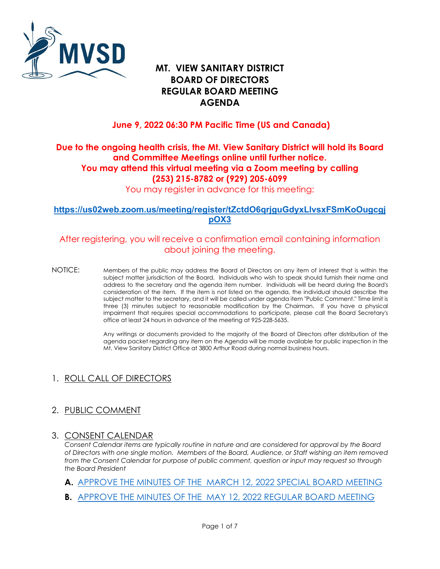

# **MT. VIEW SANITARY DISTRICT REGULAR BOARD MEETING AGENDA BOARD OF DIRECTORS**

## **June 9, 2022 06:30 PM Pacific Time (US and Canada)**

## **Due to the ongoing health crisis, the Mt. View Sanitary District will hold its Board and Committee Meetings online until further notice. You may attend this virtual meeting via a Zoom meeting by calling (253) 215-8782 or (929) 205-6099**

You may register in advance for this meeting:

#### **[https://us02web.zoom.us/meeting/register/tZctdO6qrjguGdyxLlvsxFSmKoOugcgj](https://us02web.zoom.us/meeting/register/tZctdO6qrjguGdyxLlvsxFSmKoOugcgjpOX3) [pOX3](https://us02web.zoom.us/meeting/register/tZctdO6qrjguGdyxLlvsxFSmKoOugcgjpOX3)**

## After registering, you will receive a confirmation email containing information about joining the meeting.

 NOTICE: Members of the public may address the Board of Directors on any item of interest that is within the subject matter jurisdiction of the Board. Individuals who wish to speak should furnish their name and address to the secretary and the agenda item number. Individuals will be heard during the Board's consideration of the item. If the item is not listed on the agenda, the individual should describe the subject matter to the secretary, and it will be called under agenda item "Public Comment." Time limit is three (3) minutes subject to reasonable modification by the Chairman. If you have a physical office at least 24 hours in advance of the meeting at 925-228-5635. impairment that requires special accommodations to participate, please call the Board Secretary's

> Any writings or documents provided to the majority of the Board of Directors after distribution of the agenda packet regarding any item on the Agenda will be made available for public inspection in the Mt. View Sanitary District Office at 3800 Arthur Road during normal business hours.

## 1. ROLL CALL OF DIRECTORS

## 2. PUBLIC COMMENT

## 3. CONSENT CALENDAR

 *Consent Calendar items are typically routine in nature and are considered for approval by the Board from the Consent Calendar for purpose of public comment, question or input may request so through of Directors with one single motion. Members of the Board, Audience, or Staff wishing an item removed the Board President* 

- **A.** [APPROVE THE MINUTES OF THE MARCH 12, 2022 SPECIAL BOARD MEETING](https://www.mvsd.org/files/2a2a58463/2022-06-09+ITEM+3A.pdf)
- **B.** [APPROVE THE MINUTES OF THE MAY 12, 2022 REGULAR BOARD MEETING](https://www.mvsd.org/files/d4290729c/2022-06-09+ITEM+3B.pdf)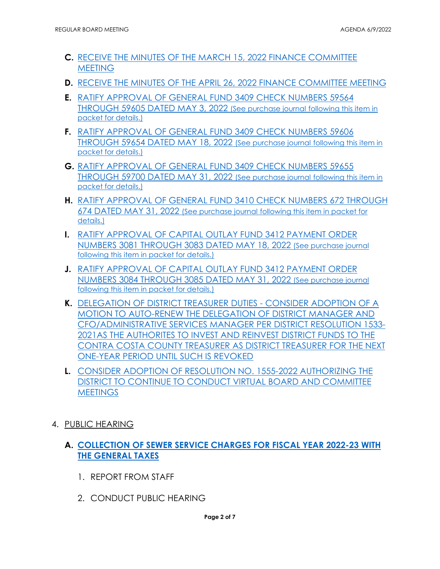- **C.** [RECEIVE THE MINUTES OF THE MARCH 15, 2022 FINANCE COMMITTEE](https://www.mvsd.org/files/24538a464/2022-06-09+ITEM+3C.pdf)  **MEETING**
- **D.** [RECEIVE THE MINUTES OF THE APRIL 26, 2022 FINANCE COMMITTEE MEETING](https://www.mvsd.org/files/46a2dbbdf/2022-06-09+ITEM+3D.pdf)
- **E.** [RATIFY APPROVAL OF GENERAL FUND 3409 CHECK NUMBERS 59564](https://www.mvsd.org/files/ac381853d/2022-06-09+ITEM+3E.pdf)  [THROUGH 59605 DATED MAY 3, 2022 \(See purchase journal following this item in](https://www.mvsd.org/files/ac381853d/2022-06-09+ITEM+3E.pdf)  [packet for details.\)](https://www.mvsd.org/files/ac381853d/2022-06-09+ITEM+3E.pdf)
- **F.** [RATIFY APPROVAL OF GENERAL FUND 3409 CHECK NUMBERS 59606](https://www.mvsd.org/files/40e69b58e/2022-06-09+ITEM+3F.pdf)  [THROUGH 59654 DATED MAY 18, 2022 \(See purchase journal following this item in](https://www.mvsd.org/files/40e69b58e/2022-06-09+ITEM+3F.pdf)  [packet for details.\)](https://www.mvsd.org/files/40e69b58e/2022-06-09+ITEM+3F.pdf)
- **G.** [RATIFY APPROVAL OF GENERAL FUND 3409 CHECK NUMBERS 59655](https://www.mvsd.org/files/32eb4d1ce/2022-06-09+ITEM+3G.pdf)  [THROUGH 59700 DATED MAY 31, 2022 \(See purchase journal following this item in](https://www.mvsd.org/files/32eb4d1ce/2022-06-09+ITEM+3G.pdf)  [packet for details.\)](https://www.mvsd.org/files/32eb4d1ce/2022-06-09+ITEM+3G.pdf)
- **H.** [RATIFY APPROVAL OF GENERAL FUND 3410 CHECK NUMBERS 672 THROUGH](https://www.mvsd.org/files/0bc7890d7/2022-06-09+ITEM+3H.pdf)  [674 DATED MAY 31, 2022 \(See purchase journal following this item in packet for](https://www.mvsd.org/files/0bc7890d7/2022-06-09+ITEM+3H.pdf)  [details.\)](https://www.mvsd.org/files/0bc7890d7/2022-06-09+ITEM+3H.pdf)
- **I.** [RATIFY APPROVAL OF CAPITAL OUTLAY FUND 3412 PAYMENT ORDER](https://www.mvsd.org/files/92283a0d1/2022-06-09+ITEM+3I.pdf)  [NUMBERS 3081 THROUGH 3083 DATED MAY 18, 2022 \(See purchase journal](https://www.mvsd.org/files/92283a0d1/2022-06-09+ITEM+3I.pdf)  [following this item in packet for details.\)](https://www.mvsd.org/files/92283a0d1/2022-06-09+ITEM+3I.pdf)
- **J.** [RATIFY APPROVAL OF CAPITAL OUTLAY FUND 3412 PAYMENT ORDER](https://www.mvsd.org/files/f5b498412/2022-06-09+ITEM+3J.pdf)  [NUMBERS 3084 THROUGH 3085 DATED MAY 31, 2022 \(See purchase journal](https://www.mvsd.org/files/f5b498412/2022-06-09+ITEM+3J.pdf)  [following this item in packet for details.\)](https://www.mvsd.org/files/f5b498412/2022-06-09+ITEM+3J.pdf)
- [2021AS THE AUTHORITES TO INVEST AND REINVEST DISTRICT FUNDS TO THE](https://www.mvsd.org/files/9c038383d/2022-06-09+ITEM+3K.pdf)  **K.** [DELEGATION OF DISTRICT TREASURER DUTIES -](https://www.mvsd.org/files/9c038383d/2022-06-09+ITEM+3K.pdf) CONSIDER ADOPTION OF A [MOTION TO AUTO-RENEW THE DELEGATION OF DISTRICT MANAGER AND](https://www.mvsd.org/files/9c038383d/2022-06-09+ITEM+3K.pdf)  [CFO/ADMINISTRATIVE SERVICES MANAGER PER DISTRICT RESOLUTION 1533-](https://www.mvsd.org/files/9c038383d/2022-06-09+ITEM+3K.pdf) [CONTRA COSTA COUNTY TREASURER AS DISTRICT TREASURER FOR THE NEXT](https://www.mvsd.org/files/9c038383d/2022-06-09+ITEM+3K.pdf)  [ONE-YEAR PERIOD UNTIL SUCH IS REVOKED](https://www.mvsd.org/files/9c038383d/2022-06-09+ITEM+3K.pdf)
- **L.** [CONSIDER ADOPTION OF RESOLUTION NO. 1555-2022 AUTHORIZING THE](https://www.mvsd.org/files/183d88f3b/2022-06-09+ITEM+3L.pdf)  [DISTRICT TO CONTINUE TO CONDUCT VIRTUAL BOARD AND COMMITTEE](https://www.mvsd.org/files/183d88f3b/2022-06-09+ITEM+3L.pdf)  **MEETINGS**
- 4. PUBLIC HEARING

## **[THE GENERAL TAXES](https://www.mvsd.org/files/f0f97b0d6/2022-06-09+ITEM+4A.pdf) A. [COLLECTION OF SEWER SERVICE CHARGES FOR FISCAL YEAR 2022-23 WITH](https://www.mvsd.org/files/f0f97b0d6/2022-06-09+ITEM+4A.pdf)**

- 1. REPORT FROM STAFF
- 2. CONDUCT PUBLIC HEARING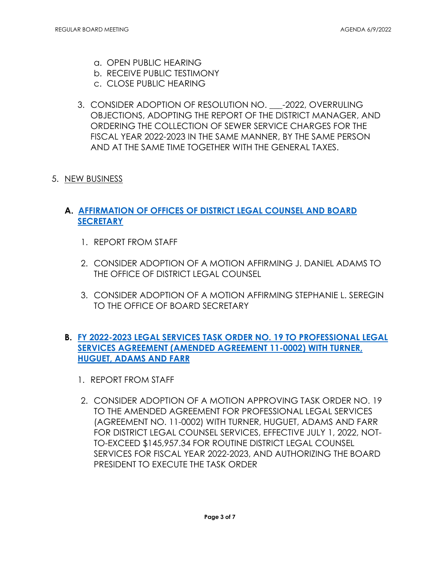- a. OPEN PUBLIC HEARING
- b. RECEIVE PUBLIC TESTIMONY
- c. CLOSE PUBLIC HEARING
- OBJECTIONS, ADOPTING THE REPORT OF THE DISTRICT MANAGER, AND 3. CONSIDER ADOPTION OF RESOLUTION NO. -2022, OVERRULING ORDERING THE COLLECTION OF SEWER SERVICE CHARGES FOR THE FISCAL YEAR 2022-2023 IN THE SAME MANNER, BY THE SAME PERSON AND AT THE SAME TIME TOGETHER WITH THE GENERAL TAXES.
- 5. NEW BUSINESS

## **A. [AFFIRMATION OF OFFICES OF DISTRICT LEGAL COUNSEL AND BOARD](https://www.mvsd.org/files/711ba97b1/2022-06-09+ITEM+5A.pdf)  [SECRETARY](https://www.mvsd.org/files/711ba97b1/2022-06-09+ITEM+5A.pdf)**

- 1. REPORT FROM STAFF
- 2. CONSIDER ADOPTION OF A MOTION AFFIRMING J. DANIEL ADAMS TO THE OFFICE OF DISTRICT LEGAL COUNSEL
- 3. CONSIDER ADOPTION OF A MOTION AFFIRMING STEPHANIE L. SEREGIN TO THE OFFICE OF BOARD SECRETARY

## **B. [FY 2022-2023 LEGAL SERVICES TASK ORDER NO. 19 TO PROFESSIONAL LEGAL](https://www.mvsd.org/files/d0c418b68/2022-06-09+ITEM+5B.pdf)  [SERVICES AGREEMENT \(AMENDED AGREEMENT 11-0002\) WITH TURNER,](https://www.mvsd.org/files/d0c418b68/2022-06-09+ITEM+5B.pdf)  [HUGUET, ADAMS AND FARR](https://www.mvsd.org/files/d0c418b68/2022-06-09+ITEM+5B.pdf)**

- 1. REPORT FROM STAFF
- 2. CONSIDER ADOPTION OF A MOTION APPROVING TASK ORDER NO. 19 TO THE AMENDED AGREEMENT FOR PROFESSIONAL LEGAL SERVICES (AGREEMENT NO. 11-0002) WITH TURNER, HUGUET, ADAMS AND FARR FOR DISTRICT LEGAL COUNSEL SERVICES, EFFECTIVE JULY 1, 2022, NOT-TO-EXCEED [\\$145,957.34](https://145,957.34) FOR ROUTINE DISTRICT LEGAL COUNSEL SERVICES FOR FISCAL YEAR 2022-2023, AND AUTHORIZING THE BOARD PRESIDENT TO EXECUTE THE TASK ORDER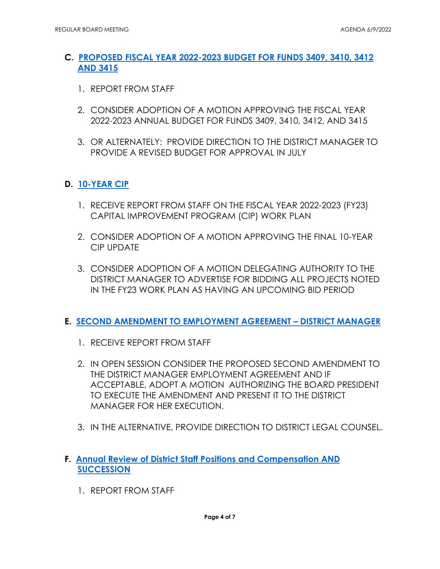## **C. [PROPOSED FISCAL YEAR 2022-2023 BUDGET FOR FUNDS 3409, 3410, 3412](https://www.mvsd.org/files/4159070c8/2022-06-09+ITEM+5C.pdf)  [AND 3415](https://www.mvsd.org/files/4159070c8/2022-06-09+ITEM+5C.pdf)**

- 1. REPORT FROM STAFF
- 2. CONSIDER ADOPTION OF A MOTION APPROVING THE FISCAL YEAR 2022-2023 ANNUAL BUDGET FOR FUNDS 3409, 3410, 3412, AND 3415
- 3. OR ALTERNATELY: PROVIDE DIRECTION TO THE DISTRICT MANAGER TO PROVIDE A REVISED BUDGET FOR APPROVAL IN JULY

## **D. [10-YEAR CIP](https://www.mvsd.org/files/1dfff6092/2022-06-09+ITEM+5D.pdf)**

- CAPITAL IMPROVEMENT PROGRAM (CIP) WORK PLAN 1. RECEIVE REPORT FROM STAFF ON THE FISCAL YEAR 2022-2023 (FY23)
- 2. CONSIDER ADOPTION OF A MOTION APPROVING THE FINAL 10-YEAR CIP UPDATE
- 3. CONSIDER ADOPTION OF A MOTION DELEGATING AUTHORITY TO THE DISTRICT MANAGER TO ADVERTISE FOR BIDDING ALL PROJECTS NOTED IN THE FY23 WORK PLAN AS HAVING AN UPCOMING BID PERIOD

## **E. [SECOND AMENDMENT TO EMPLOYMENT AGREEMENT – DISTRICT MANAGER](https://www.mvsd.org/files/22cc8ab46/2022-06-09+ITEM+5E.pdf)**

- 1. RECEIVE REPORT FROM STAFF
- MANAGER FOR HER EXECUTION. 2. IN OPEN SESSION CONSIDER THE PROPOSED SECOND AMENDMENT TO THE DISTRICT MANAGER EMPLOYMENT AGREEMENT AND IF ACCEPTABLE, ADOPT A MOTION AUTHORIZING THE BOARD PRESIDENT TO EXECUTE THE AMENDMENT AND PRESENT IT TO THE DISTRICT
- 3. IN THE ALTERNATIVE, PROVIDE DIRECTION TO DISTRICT LEGAL COUNSEL.

## **F. [Annual Review of District Staff Positions and Compensation AND](https://www.mvsd.org/files/630835bc0/2022-06-09+ITEM+5F.pdf)  [SUCCESSION](https://www.mvsd.org/files/630835bc0/2022-06-09+ITEM+5F.pdf)**

1. REPORT FROM STAFF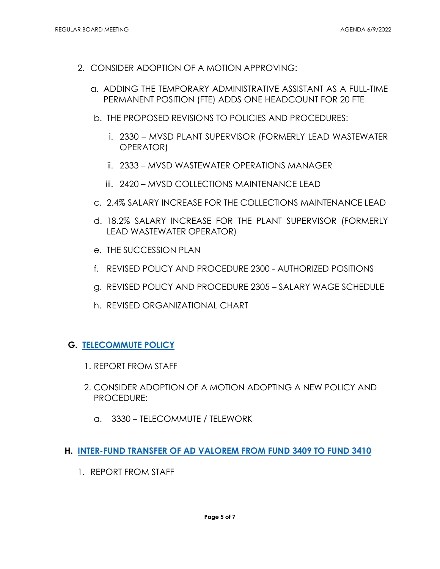- 2. CONSIDER ADOPTION OF A MOTION APPROVING:
	- a. ADDING THE TEMPORARY ADMINISTRATIVE ASSISTANT AS A FULL-TIME PERMANENT POSITION (FTE) ADDS ONE HEADCOUNT FOR 20 FTE
	- b. THE PROPOSED REVISIONS TO POLICIES AND PROCEDURES:
		- i. 2330 MVSD PLANT SUPERVISOR (FORMERLY LEAD WASTEWATER OPERATOR)
		- ii. 2333 MVSD WASTEWATER OPERATIONS MANAGER
		- iii. 2420 MVSD COLLECTIONS MAINTENANCE LEAD
	- c. 2.4% SALARY INCREASE FOR THE COLLECTIONS MAINTENANCE LEAD
	- d. 18.2% SALARY INCREASE FOR THE PLANT SUPERVISOR (FORMERLY LEAD WASTEWATER OPERATOR)
	- e. THE SUCCESSION PLAN
	- f. REVISED POLICY AND PROCEDURE 2300 AUTHORIZED POSITIONS
	- g. REVISED POLICY AND PROCEDURE 2305 SALARY WAGE SCHEDULE
	- h. REVISED ORGANIZATIONAL CHART

#### **G. [TELECOMMUTE POLICY](https://www.mvsd.org/files/41e9815bd/2022-06-09+ITEM+5G.pdf)**

- 1. REPORT FROM STAFF
- **PROCEDURE:** 2. CONSIDER ADOPTION OF A MOTION ADOPTING A NEW POLICY AND
	- PROCEDURE:<br>a. 3330 TELECOMMUTE / TELEWORK
- **H. [INTER-FUND TRANSFER OF AD VALOREM FROM FUND 3409 TO FUND 3410](https://www.mvsd.org/files/e7943307f/2022-06-09+ITEM+5H.pdf)** 
	- 1. REPORT FROM STAFF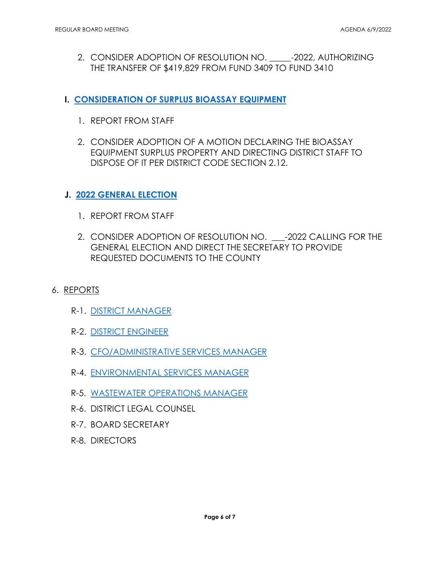- 2. CONSIDER ADOPTION OF RESOLUTION NO. -2022, AUTHORIZING THE TRANSFER OF \$419,829 FROM FUND 3409 TO FUND 3410
- **I. [CONSIDERATION OF SURPLUS BIOASSAY EQUIPMENT](https://www.mvsd.org/files/2535cef63/2022-06-09+ITEM+5I.pdf)** 
	- 1. REPORT FROM STAFF
	- 2. CONSIDER ADOPTION OF A MOTION DECLARING THE BIOASSAY EQUIPMENT SURPLUS PROPERTY AND DIRECTING DISTRICT STAFF TO DISPOSE OF IT PER DISTRICT CODE SECTION 2.12.

#### **J. [2022 GENERAL ELECTION](https://www.mvsd.org/files/4c4ad6fba/2022-06-09+ITEM+5J.pdf)**

- 1. REPORT FROM STAFF
- 2. CONSIDER ADOPTION OF RESOLUTION NO. \_\_\_-2022 CALLING FOR THE GENERAL ELECTION AND DIRECT THE SECRETARY TO PROVIDE REQUESTED DOCUMENTS TO THE COUNTY
- 6. <u>REPORTS</u>
	- R-1. [DISTRICT MANAGER](https://www.mvsd.org/files/3eb5ec9f3/2022-06-09+ITEM+6R-1.pdf)
	- R-2. [DISTRICT ENGINEER](https://www.mvsd.org/files/d74ae3db1/2022-06-09+ITEM+6R-2.pdf)
	- R-3. [CFO/ADMINISTRATIVE SERVICES MANAGER](https://www.mvsd.org/files/b42daaaba/2022-06-09+ITEM+6R-3.pdf)
	- R-4. [ENVIRONMENTAL SERVICES MANAGER](https://www.mvsd.org/files/1c3940234/2022-06-09+ITEM+6R-4.pdf)
	- R-5. <u>WASTEWATER OPERATIONS MANAGER</u><br>R-6. DISTRICT LEGAL COUNSEL
	-
	- R-7. BOARD SECRETARY
	- R-8. DIRECTORS